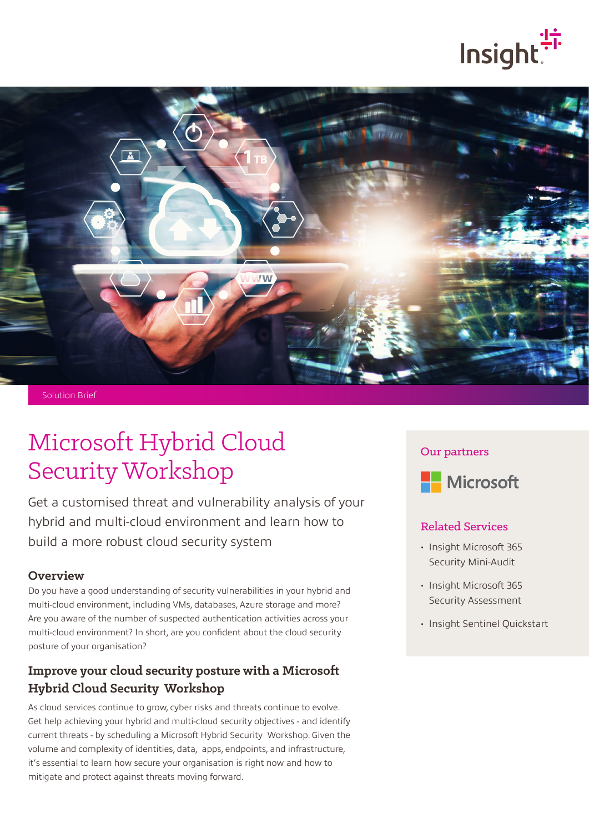



Solution Brief

# Microsoft Hybrid Cloud Security Workshop

Get a customised threat and vulnerability analysis of your hybrid and multi-cloud environment and learn how to build a more robust cloud security system

#### **Overview**

Do you have a good understanding of security vulnerabilities in your hybrid and multi-cloud environment, including VMs, databases, Azure storage and more? Are you aware of the number of suspected authentication activities across your multi-cloud environment? In short, are you confident about the cloud security posture of your organisation?

## **Improve your cloud security posture with a Microsoft Hybrid Cloud Security Workshop**

As cloud services continue to grow, cyber risks and threats continue to evolve. Get help achieving your hybrid and multi-cloud security objectives - and identify current threats - by scheduling a Microsoft Hybrid Security Workshop. Given the volume and complexity of identities, data, apps, endpoints, and infrastructure, it's essential to learn how secure your organisation is right now and how to mitigate and protect against threats moving forward.

#### Our partners



#### Related Services

- Insight Microsoft 365 Security Mini-Audit
- Insight Microsoft 365 Security Assessment
- Insight Sentinel Quickstart